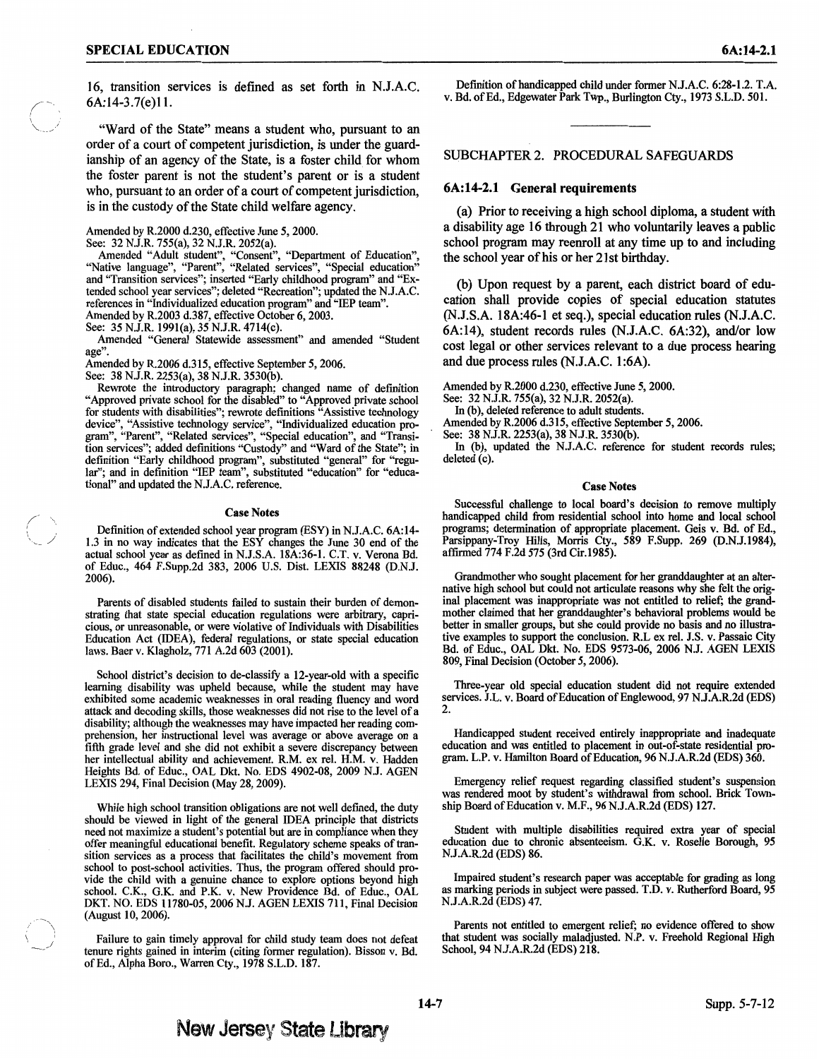16, transition services is defined as set forth in N.J.A.C. 6A:l4-3.7(e)ll.

"Ward of the State" means a student who, pursuant to an order of a court of competent jurisdiction, is under the guardianship of an agency of the State, is a foster child for whom the foster parent is not the student's parent or is a student who, pursuant to an order of a court of competent jurisdiction, is in the custody of the State child welfare agency.

Amended by R.2000 d.230, effective June *5,* 2000.

See: 32 N.J.R. 755(a), 32 N.J.R. 2052(a).

Amended "Adult student", "Consent", "Department of Education", "Native language", "Parent", "Related services", "Special education" and "Transition services"; inserted "Early childhood program" and "Extended school year services"; deleted "Recreation"; updated the N.J.A.C. references in "Individualized education program" and "IEP team". Amended by R.2003 d.387, effective October 6, 2003.

See: 35 N.J.R. 199l(a), 35 N.J.R. 4714(c).

Amended "General Statewide assessment" and amended "Student age".

Amended by R.2006 d.315, effective September *5,* 2006.

See: 38 N.J.R. 2253(a), 38 N.J.R. 3530(b).

Rewrote the introductory paragraph; changed name of defmition "Approved private school for the disabled" to "Approved private school for students with disabilities"; rewrote definitions "Assistive technology device", "Assistive technology service", "Individualized education program", "Parent", "Related services", "Special education", and "Transition services"; added definitions "Custody" and "Ward of the State"; in definition "Early childhood program", substituted "general" for "regular"; and in definition "IEP team", substituted "education" for "educational" and updated the N.J.A.C. reference.

#### Case Notes

Definition of extended school year program (ESY) in N.J.A.C. 6A:l4- 1.3 in no way indicates that the ESY changes the June 30 end of the actual school year as defined in N.J.S.A. 18A:36-1. C.T. v. Verona Bd. of Educ., 464 F.Supp.2d 383, 2006 U.S. Dist. LEXIS 88248 (D.N.J. 2006).

Parents of disabled students failed to sustain their burden of demonstrating that state special education regulations were arbitrary, capricious, or unreasonable, or were violative of Individuals with Disabilities Education Act (IDEA), federal regulations, or state special education laws. Baer v. Klagholz, 771 A.2d 603 (2001).

School district's decision to de-classify a 12-year-old with a specific learning disability was upheld because, while the student may have exhibited some academic weaknesses in oral reading fluency and word attack and decoding skills, those weaknesses did not rise to the level of a disability; although the weaknesses may have impacted her reading comprehension, her instructional level was average or above average on a fifth grade level and she did not exhibit a severe discrepancy between her intellectual ability and achievement. R.M. ex rei. H.M. v. Hadden Heights Bd. of Educ., OAL Dkt. No. EDS 4902-08, 2009 N.J. AGEN LEXIS 294, Final Decision (May 28, 2009).

While high school transition obligations are not well defined, the duty should be viewed in light of the general IDEA principle that districts need not maximize a student's potential but are in compliance when they offer meaningful educational benefit. Regulatory scheme speaks of transition services as a process that facilitates the child's movement from school to post-school activities. Thus, the program offered should provide the child with a genuine chance to explore options beyond high school. C.K., G.K. and P.K. v. New Providence Bd. of Educ., OAL DKT. NO. EDS 11780-05, 2006 N.J. AGEN LEXIS 711, Final Decision (August 10, 2006).

Failure to gain timely approval for child study team does not defeat tenure rights gained in interim (citing former regulation). Bisson v. Bd. of Ed., Alpha Boro., Warren Cty., 1978 S.L.D. 187.

Definition of handicapped child under former N.J.A.C. 6:28-1.2. T.A. v. Bd. of Ed., Edgewater Park Twp., Burlington Cty., 1973 S.L.D. 501.

SUBCHAPTER 2. PROCEDURAL SAFEGUARDS

## **6A:14-2.1 General requirements**

(a) Prior to receiving a high school diploma, a student with a disability age 16 through 21 who voluntarily leaves a public school program may reenroll at any time up to and including the school year of his or her 21st birthday.

(b) Upon request by a parent, each district board of education shall provide copies of special education statutes (N.J.S.A. 18A:46-l et seq.), special education rules (N.J.A.C. 6A:l4), student records rules (N.J.A.C. 6A:32), and/or low cost legal or other services relevant to a due process hearing and due process rules (N.J.A.C. 1:6A).

Amended by R.2000 d.230, effective June *5,* 2000.

See: 32 N.J.R. 755(a), 32 N.J.R. 2052(a).

In (b), deleted reference to adult students.

Amended by R.2006 d.315, effective September *5,* 2006.

See: 38 N.J.R. 2253(a), 38 N.J.R. 3530(b).

In (b), updated the N.J.A.C. reference for student records rules; deleted (c).

#### Case Notes

Successful challenge to local board's decision to remove multiply handicapped child from residential school into home and local school programs; determination of appropriate placement. Geis v. Bd. of Ed., Parsippany-Troy Hills, Morris Cty., 589 F.Supp. 269 (D.N.J.1984), affirmed 774 F.2d 575 (3rd Cir.l985).

Grandmother who sought placement for her granddaughter at an alternative high school but could not articulate reasons why she felt the original placement was inappropriate was not entitled to relief; the grandmother claimed that her granddaughter's behavioral problems would be better in smaller groups, but she could provide no basis and no illustrative examples to support the conclusion. R.L ex rei. J.S. v. Passaic City Bd. of Educ., OAL Dkt. No. EDS 9573-06, 2006 N.J. AGEN LEXIS 809, Final Decision (October *5,* 2006).

Three-year old special education student did not require extended services. J.L. v. Board of Education of Englewood, 97 N.J.A.R.2d (EDS) 2.

Handicapped student received entirely inappropriate and inadequate education and was entitled to placement in out-of-state residential program. L.P. v. Hamilton Board of Education, 96 N.J.A.R.2d (EDS) 360.

Emergency relief request regarding classified student's suspension was rendered moot by student's withdrawal from school. Brick Township Board of Education v. M.F., 96 N.J.A.R.2d (EDS) 127.

Student with multiple disabilities required extra year of special education due to chronic absenteeism. G.K. v. Roselle Borough, 95 N.J.A.R.2d (EDS) 86.

Impaired student's research paper was acceptable for grading as long as marking periods in subject were passed. T.D. v. Rutherford Board, 95 N.J.A.R.2d (EDS) 47.

Parents not entitled to emergent relief; no evidence offered to show that student was socially maladjusted. N.P. v. Freehold Regional High School, 94 N.J.A.R.2d (EDS) 218.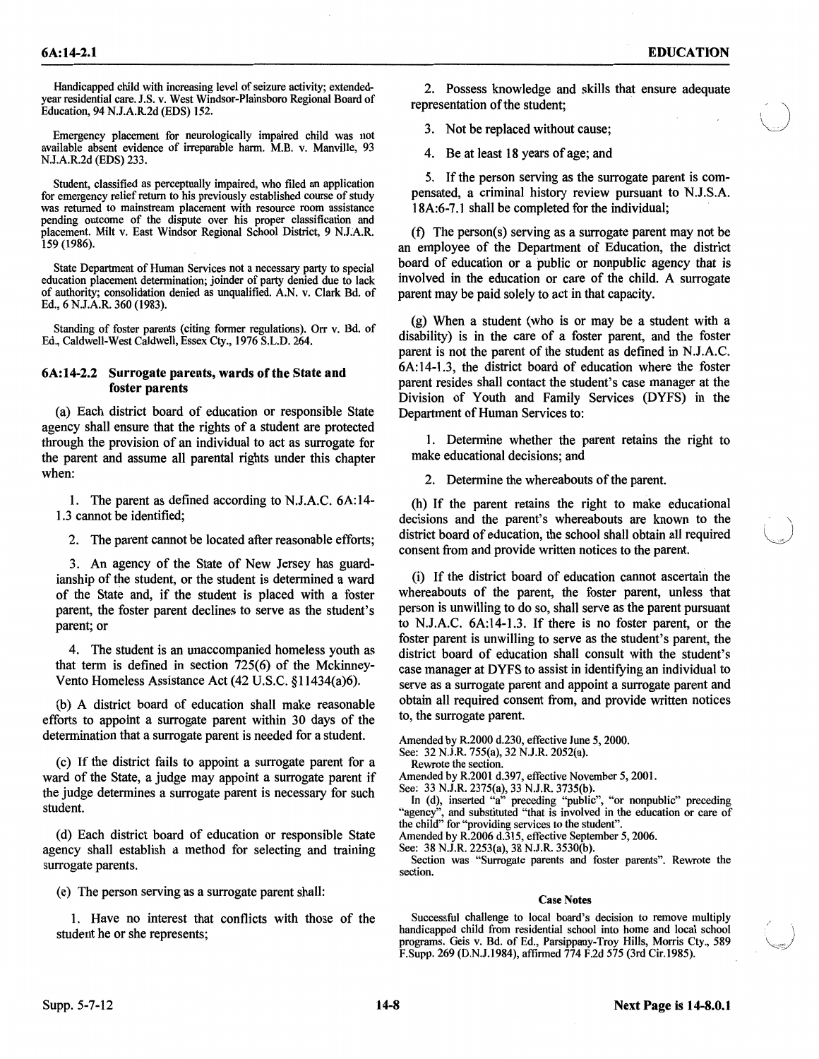Emergency placement for neurologically impaired child was not available absent evidence of irreparable harm. M.B. v. Manville, 93 N.J.A.R.2d (EDS) 233.

Student, classified as perceptually impaired, who filed an application for emergency relief return to his previously established course of study was returned to mainstream placement with resource room assistance pending outcome of the dispute over his proper classification and placement. Milt v. East Windsor Regional School District, 9 N.J.A.R. 159 (1986).

State Department of Human Services not a necessary party to special education placement determination; joinder of party denied due to lack of authority; consolidation denied as unqualified. A.N. v. Clark Bd. of Ed., 6 N.J.A.R. 360 (1983).

Standing of foster parents (citing former regulations). Orr v. Bd. of Ed., Caldwell-West Caldwell, Essex Cty., 1976 S.L.D. 264.

# 6A:14-2.2 Surrogate parents, wards of the State and foster parents

(a) Each district board of education or responsible State agency shall ensure that the rights of a student are protected through the provision of an individual to act as surrogate for the parent and assume all parental rights under this chapter when:

1. The parent as defined according to N.J.A.C. 6A:14- 1.3 cannot be identified;

2. The parent cannot be located after reasonable efforts;

3. An agency of the State of New Jersey has guardianship of the student, or the student is determined a ward of the State and, if the student is placed with a foster parent, the foster parent declines to serve as the student's parent; or

4. The student is an unaccompanied homeless youth as that term is defined in section 725(6) of the Mckinney-Vento Homeless Assistance Act (42 U.S.C. §11434(a)6).

(b) A district board of education shall make reasonable efforts to appoint a surrogate parent within 30 days of the determination that a surrogate parent is needed for a student.

(c) If the district fails to appoint a surrogate parent for a ward of the State, a judge may appoint a surrogate parent if the judge determines a surrogate parent is necessary for such student.

(d) Each district board of education or responsible State agency shall establish a method for selecting and training surrogate parents.

(e) The person serving as a surrogate parent shall:

1. Have no interest that conflicts with those of the student he or she represents;

\  $\bigcup$ 

2. Possess knowledge and skills that ensure adequate representation of the student;

3. Not be replaced without cause;

4. Be at least 18 years of age; and

5. If the person serving as the surrogate parent is compensated, a criminal history review pursuant to N.J.S.A. 18A:6-7 .1 shall be completed for the individual;

(t) The person(s) serving as a surrogate parent may not be an employee of the Department of Education, the district board of education or a public or nonpublic agency that is involved in the education or care of the child. A surrogate parent may be paid solely to act in that capacity.

(g) When a student (who is or may be a student with a disability) is in the care of a foster parent, and the foster parent is not the parent of the student as defined in N.J.A.C. 6A:14-1.3, the district board of education where the foster parent resides shall contact the student's case manager at the Division of Youth and Family Services (DYFS) in the Department of Human Services to:

1. Determine whether the parent retains the right to make educational decisions; and

2. Determine the whereabouts of the parent.

(h) If the parent retains the right to make educational decisions and the parent's whereabouts are known to the district board of education, the school shall obtain all required consent from and provide written notices to the parent.

(i) If the district board of education cannot ascertain the whereabouts of the parent, the foster parent, unless that person is unwilling to do so, shall serve as the parent pursuant to N.J.A.C. 6A:l4-1.3. If there is no foster parent, or the foster parent is unwilling to serve as the student's parent, the district board of education shall consult with the student's case manager at DYFS to assist in identifying an individual to serve as a surrogate parent and appoint a surrogate parent and obtain all required consent from, and provide written notices to, the surrogate parent.

Amended by R.2000 d.230, effective June 5, 2000.

See: 32 N.J.R. 755(a), 32 N.J.R. 2052(a).

Rewrote the section.

Amended by R.2001 d.397, effective November 5, 2001.

See: 33 N.J.R. 2375(a), 33 N.J.R. 3735(b).

In (d), inserted "a" preceding "public", "or nonpublic" preceding "agency", and substituted "that is involved in the education or care of the child" for "providing services to the student".

Amended by R.2006 d.315, effective September 5, 2006.

See: 38 N.J.R. 2253(a), 38 N.J.R. 3530(b).

Section was "Surrogate parents and foster parents". Rewrote the section.

### Case Notes

Successful challenge to local board's decision to remove multiply handicapped child from residential school into home and local school programs. Geis v. Bd. of Ed., Parsippany-Troy Hills, Morris Cty., 589 F.Supp. 269 (D.N.J.I984), affirmed 774 F.2d 575 (3rd Cir.l985).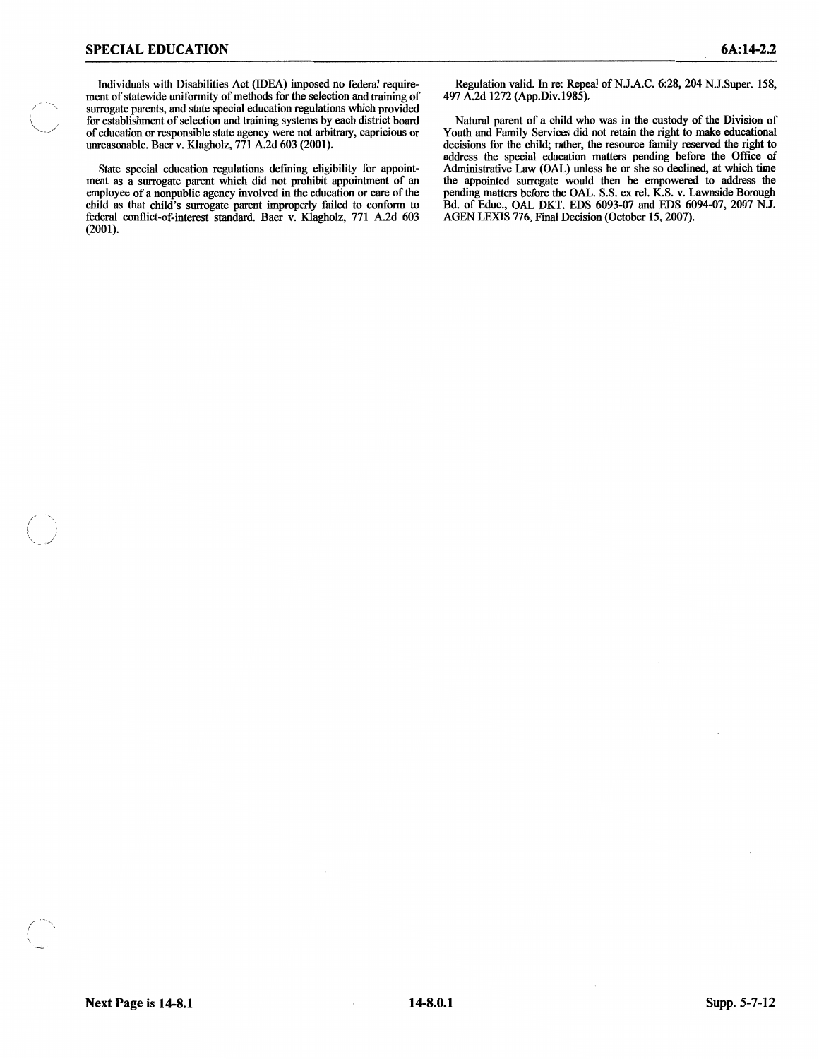/

Individuals with Disabilities Act (IDEA) imposed no federal requirement of statewide uniformity of methods for the selection and training of surrogate parents, and state special education regulations which provided for establishment of selection and training systems by each district board of education or responsible state agency were not arbitrary, capricious or unreasonable. Baer v. Klagholz, 771 A.2d 603 (2001).

State special education regulations defining eligibility for appointment as a surrogate parent which did not prohibit appointment of an employee of a nonpublic agency involved in the education or care of the child as that child's surrogate parent improperly failed to conform to federal conflict-of-interest standard. Baer v. Klagholz, 771 A.2d 603 (2001).

Regulation valid. In re: Repeal of N.J.A.C. 6:28, 204 N.J.Super. 158, 497 A.2d 1272 (App.Div.1985).

Natural parent of a child who was in the custody of the Division of Youth and Family Services did not retain the right to make educational decisions for the child; rather, the resource family reserved the right to address the special education matters pending before the Office of Administrative Law (OAL) unless he or she so declined, at which time the appointed surrogate would then be empowered to address the pending matters before the OAL. S.S. ex rel. K.S. v. Lawnside Borough Bd. of Educ., OAL DKT. EDS 6093-07 and EDS 6094-07, 2007 N.J. AGEN LEXIS 776, Final Decision (October 15, 2007).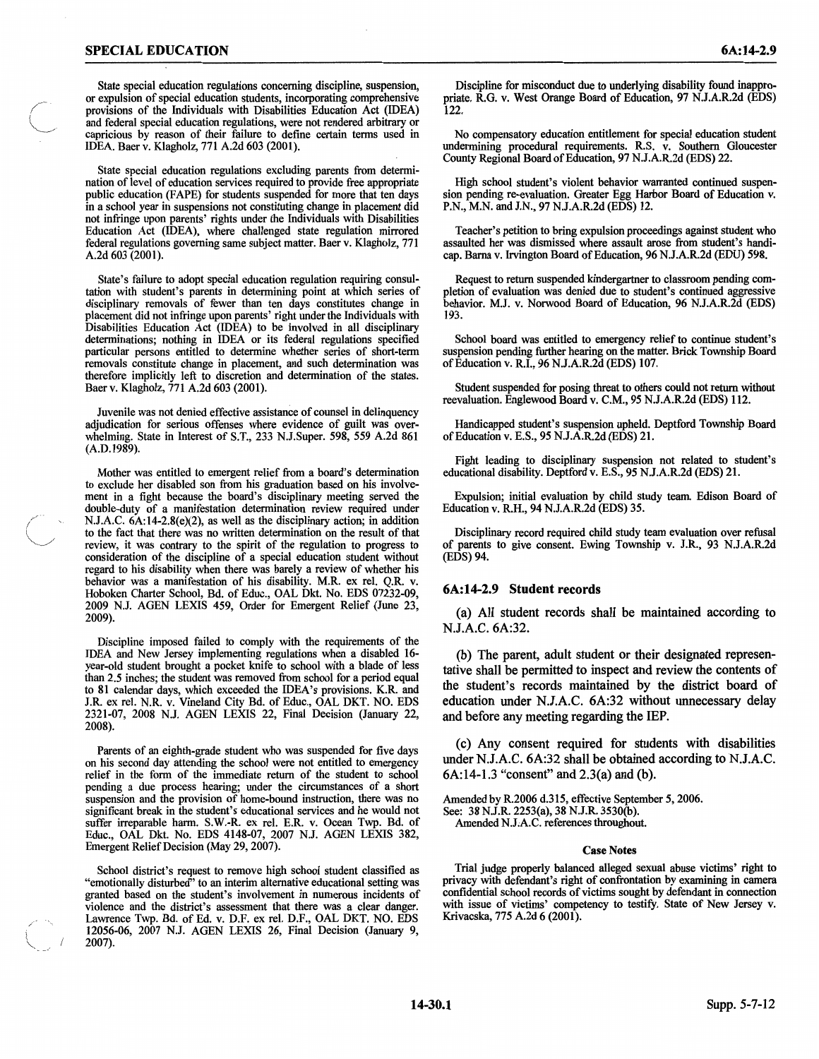State special education regulations concerning discipline, suspension, or expulsion of special education students, incorporating comprehensive provisions of the Individuals with Disabilities Education Act (IDEA) and federal special education regulations, were not rendered arbitrary or capricious by reason of their failure to define certain terms used in IDEA. Baer v. Klagholz, 771 A.2d 603 (2001).

State special education regulations excluding parents from determination of level of education services required to provide free appropriate public education (FAPE) for students suspended for more that ten days in a school year in suspensions not constituting change in placement did not infringe upon parents' rights under the Individuals with Disabilities Education Act (IDEA), where challenged state regulation mirrored federal regulations governing same subject matter. Baer v. Klagholz, 771 A.2d 603 (2001).

State's failure to adopt special education regulation requiring consultation with student's parents in determining point at which series of disciplinary removals of fewer than ten days constitutes change in placement did not infringe upon parents' right under the Individuals with Disabilities Education Act (IDEA) to be involved in all disciplinary determinations; nothing in IDEA or its federal regulations specified particular persons entitled to determine whether series of short-term removals constitute change in placement, and such determination was therefore implicitly left to discretion and determination of the states. Baer v. Klagholz, 771 A.2d 603 (2001).

Juvenile was not denied effective assistance of counsel in delinquency adjudication for serious offenses where evidence of guilt was overwhelming. State in Interest of S.T., 233 N.J.Super. 598, *559* A.2d 861  $(A.D.1989).$ 

Mother was entitled to emergent relief from a board's determination to exclude her disabled son from his graduation based on his involvement in a fight because the board's disciplinary meeting served the double-duty of a manifestation determination review required under N.J.A.C. 6A:l4-2.8(e)(2), as well as the disciplinary action; in addition to the fact that there was no written determination on the result of that review, it was contrary to the spirit of the regulation to progress to consideration of the discipline of a special education student without regard to his disability when there was barely a review of whether his behavior was a manifestation of his disability. M.R. ex rei. Q.R. v. Hoboken Charter School, Bd. of Educ., OAL Dkt. No. EDS 07232-09, 2009 N.J. AGEN LEXIS 459, Order for Emergent Relief (June 23, 2009).

Discipline imposed failed to comply with the requirements of the IDEA and New Jersey implementing regulations when a disabled 16 year-old student brought a pocket knife to school with a blade of less than 2.5 inches; the student was removed from school for a period equal to 81 calendar days, which exceeded the IDEA's provisions. K.R. and J.R. ex rei. N.R. v. Vineland City Bd. of Educ., OAL DKT. NO. EDS 2321-07, 2008 N.J. AGEN LEXIS 22, Final Decision (January 22, 2008).

Parents of an eighth-grade student who was suspended for five days on his second day attending the school were not entitled to emergency relief in the form of the immediate return of the student to school pending a due process hearing; under the circumstances of a short suspension and the provision of home-bound instruction, there was no significant break in the student's educational services and he would not suffer irreparable harm. S.W.-R. ex rei. E.R. v. Ocean Twp. Bd. of Educ., OAL Dkt. No. EDS 4148-07, 2007 N.J. AGEN LEXIS 382, Emergent Relief Decision (May 29, 2007).

School district's request to remove high school student classified as "emotionally disturbed" to an interim alternative educational setting was granted based on the student's involvement in numerous incidents of violence and the district's assessment that there was a clear danger. Lawrence Twp. Bd. of Ed. v. D.F. ex rei. D.F., OAL DKT. NO. EDS 12056-06, 2007 N.J. AGEN LEXIS 26, Final Decision (January 9, 2007).

Discipline for misconduct due to underlying disability found inappropriate. R.G. v. West Orange Board of Education, 97 N.J.A.R.2d (EDS) 122.

No compensatory education entitlement for special education student undermining procedural requirements. R.S. v. Southern Gloucester County Regional Board of Education, 97 N.J.A.R.2d (EDS) 22.

High school student's violent behavior warranted continued suspension pending re-evaluation. Greater Egg Harbor Board of Education v. P.N., M.N. and J.N., 97 N.J.A.R.2d (EDS) 12.

Teacher's petition to bring expulsion proceedings against student who assaulted her was dismissed where assault arose from student's handicap. Barna v. Irvington Board of Education, 96 N.J.A.R.2d (EDU) 598.

Request to return suspended kindergartner to classroom pending completion of evaluation was denied due to student's continued aggressive behavior. M.J. v. Norwood Board of Education, 96 N.J.A.R.2d (EDS) 193.

School board was entitled to emergency relief to continue student's suspension pending further hearing on the matter. Brick Township Board of Education v. R.I., 96 N.J.A.R.2d (EDS) 107.

Student suspended for posing threat to others could not return without reevaluation. Englewood Board v. C.M., *95* N.J.A.R.2d (EDS) 112.

Handicapped student's suspension upheld. Deptford Township Board of Education v. E.S., *95* N.J.A.R.2d (EDS) 21.

Fight leading to disciplinary suspension not related to student's educational disability. Deptford v. E.S., 95 N.J.A.R.2d (EDS) 21.

Expulsion; initial evaluation by child study team. Edison Board of Education v. R.H., 94 N.J.A.R.2d (EDS) 35.

Disciplinary record required child study team evaluation over refusal of parents to give consent. Ewing Township v. J.R., 93 N.J.A.R.2d (EDS)94.

### **6A:14-2.9 Student records**

(a) All student records shall be maintained according to N.J.A.C. 6A:32.

(b) The parent, adult student or their designated representative shall be permitted to inspect and review the contents of the student's records maintained by the district board of education under N.J.A.C. 6A:32 without unnecessary delay and before any meeting regarding the IEP.

(c) Any consent required for students with disabilities under N.J.A.C. 6A:32 shall be obtained according to N.J.A.C. 6A:14-1.3 "consent" and 2.3(a) and (b).

Amended by R.2006 d.315, effective September 5, 2006. See: 38 N.J.R. 2253(a), 38 N.J.R. 3530(b). Amended N.J.A.C. references throughout.

#### Case Notes

Trial judge properly balanced alleged sexual abuse victims' right to privacy with defendant's right of confrontation by examining in camera confidential school records of victims sought by defendant in connection with issue of victims' competency to testify. State of New Jersey v. Krivacska, 775 A.2d 6 (2001).